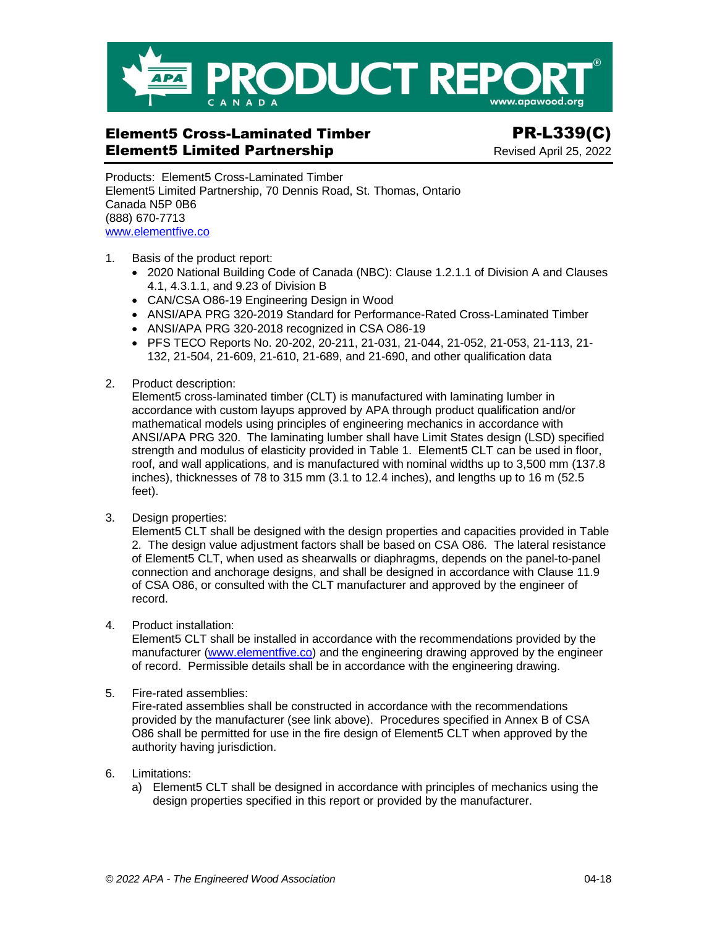

# Element5 Cross-Laminated Timber PR-L339(C) **Element5 Limited Partnership Communication Revised April 25, 2022**

Products: Element5 Cross-Laminated Timber Element5 Limited Partnership, 70 Dennis Road, St. Thomas, Ontario Canada N5P 0B6 (888) 670-7713 [www.elementfive.co](https://elementfive.co/)

- 1. Basis of the product report:
	- 2020 National Building Code of Canada (NBC): Clause 1.2.1.1 of Division A and Clauses 4.1, 4.3.1.1, and 9.23 of Division B
	- CAN/CSA O86-19 Engineering Design in Wood
	- ANSI/APA PRG 320-2019 Standard for Performance-Rated Cross-Laminated Timber
	- ANSI/APA PRG 320-2018 recognized in CSA O86-19
	- PFS TECO Reports No. 20-202, 20-211, 21-031, 21-044, 21-052, 21-053, 21-113, 21- 132, 21-504, 21-609, 21-610, 21-689, and 21-690, and other qualification data
- 2. Product description:

Element5 cross-laminated timber (CLT) is manufactured with laminating lumber in accordance with custom layups approved by APA through product qualification and/or mathematical models using principles of engineering mechanics in accordance with ANSI/APA PRG 320. The laminating lumber shall have Limit States design (LSD) specified strength and modulus of elasticity provided in Table 1. Element5 CLT can be used in floor, roof, and wall applications, and is manufactured with nominal widths up to 3,500 mm (137.8 inches), thicknesses of 78 to 315 mm (3.1 to 12.4 inches), and lengths up to 16 m (52.5 feet).

3. Design properties:

Element5 CLT shall be designed with the design properties and capacities provided in Table 2. The design value adjustment factors shall be based on CSA O86. The lateral resistance of Element5 CLT, when used as shearwalls or diaphragms, depends on the panel-to-panel connection and anchorage designs, and shall be designed in accordance with Clause 11.9 of CSA O86, or consulted with the CLT manufacturer and approved by the engineer of record.

4. Product installation:

Element5 CLT shall be installed in accordance with the recommendations provided by the manufacturer [\(www.elementfive.co\)](https://elementfive.co/) and the engineering drawing approved by the engineer of record. Permissible details shall be in accordance with the engineering drawing.

5. Fire-rated assemblies:

Fire-rated assemblies shall be constructed in accordance with the recommendations provided by the manufacturer (see link above). Procedures specified in Annex B of CSA O86 shall be permitted for use in the fire design of Element5 CLT when approved by the authority having jurisdiction.

- 6. Limitations:
	- a) Element5 CLT shall be designed in accordance with principles of mechanics using the design properties specified in this report or provided by the manufacturer.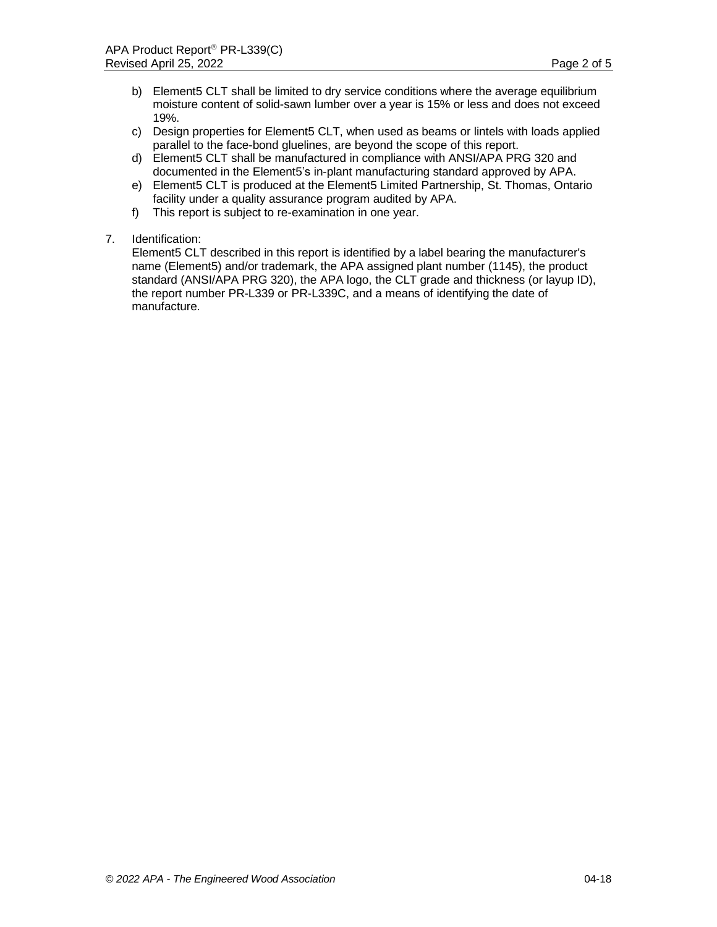- b) Element5 CLT shall be limited to dry service conditions where the average equilibrium moisture content of solid-sawn lumber over a year is 15% or less and does not exceed 19%.
- c) Design properties for Element5 CLT, when used as beams or lintels with loads applied parallel to the face-bond gluelines, are beyond the scope of this report.
- d) Element5 CLT shall be manufactured in compliance with ANSI/APA PRG 320 and documented in the Element5's in-plant manufacturing standard approved by APA.
- e) Element5 CLT is produced at the Element5 Limited Partnership, St. Thomas, Ontario facility under a quality assurance program audited by APA.
- f) This report is subject to re-examination in one year.
- 7. Identification:

Element5 CLT described in this report is identified by a label bearing the manufacturer's name (Element5) and/or trademark, the APA assigned plant number (1145), the product standard (ANSI/APA PRG 320), the APA logo, the CLT grade and thickness (or layup ID), the report number PR-L339 or PR-L339C, and a means of identifying the date of manufacture.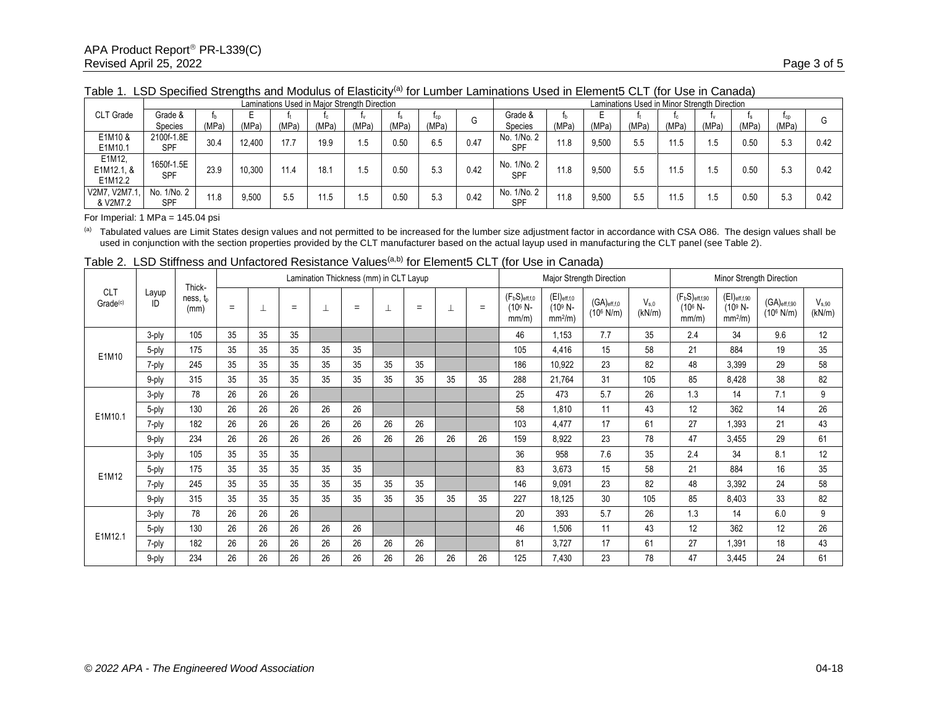|                                 |                           |       |        |       | Laminations Used in Major Strength Direction |       |       |       | Laminations Used in Minor Strength Direction |                           |       |       |       |       |       |       |       |      |
|---------------------------------|---------------------------|-------|--------|-------|----------------------------------------------|-------|-------|-------|----------------------------------------------|---------------------------|-------|-------|-------|-------|-------|-------|-------|------|
| <b>CLT</b> Grade                | Grade &                   |       |        |       |                                              |       |       | lcp   | G                                            | Grade &                   |       |       |       | lc.   |       |       | Tcp   |      |
|                                 | Species                   | (MPa) | (MPa)  | (MPa) | (MPa)                                        | (MPa) | (MPa) | (MPa) |                                              | Species                   | (MPa) | (MPa) | (MPa) | (MPa) | (MPa) | (MPa) | 'MPa) |      |
| E1M10 &<br>E1M10.1              | 2100f-1.8E<br><b>SPF</b>  | 30.4  | 12.400 | 17.7  | 19.9                                         | .5    | 0.50  | 6.5   | 0.47                                         | No. 1/No. 2<br>SPF        | 11.8  | 9,500 | 5.5   | 11.5  | .5    | 0.50  | 5.3   | 0.42 |
| E1M12,<br>E1M12.1, &<br>E1M12.2 | 1650f-1.5E<br><b>SPF</b>  | 23.9  | 10.300 | 11.4  | 18.7                                         |       | 0.50  | 5.3   | 0.42                                         | No. 1/No. 2<br><b>SPF</b> | 11.8  | 9,500 | 5.5   | 11.5  | .5    | 0.50  | 5.3   | 0.42 |
| V2M7, V2M7.1.<br>& V2M7.2       | No. 1/No. 2<br><b>SPF</b> |       | 9,500  | 5.5   | 11.5                                         |       | 0.50  | 5.3   | 0.42                                         | No. 1/No. 2<br><b>SPF</b> | 11.8  | 9,500 | 5.5   | 11.5  | .5    | 0.50  | 5.3   | 0.42 |

Table 1. LSD Specified Strengths and Modulus of Elasticity<sup>(a)</sup> for Lumber Laminations Used in Element5 CLT (for Use in Canada)

For Imperial: 1 MPa = 145.04 psi

(a) Tabulated values are Limit States design values and not permitted to be increased for the lumber size adjustment factor in accordance with CSA O86. The design values shall be used in conjunction with the section properties provided by the CLT manufacturer based on the actual layup used in manufacturing the CLT panel (see Table 2).

| <b>CLT</b><br>Grade <sup>(c)</sup> | Layup<br>ID | Thick-<br>ness, t <sub>o</sub><br>(mm) | Lamination Thickness (mm) in CLT Layup |    |     |    |     |    |     |    |     |                                        |                                             | Major Strength Direction               |                     | Minor Strength Direction                    |                                             |                                         |                             |  |
|------------------------------------|-------------|----------------------------------------|----------------------------------------|----|-----|----|-----|----|-----|----|-----|----------------------------------------|---------------------------------------------|----------------------------------------|---------------------|---------------------------------------------|---------------------------------------------|-----------------------------------------|-----------------------------|--|
|                                    |             |                                        | $=$                                    | ⊥  | $=$ |    | $=$ |    | $=$ |    | $=$ | $(F_bS)_{eff,f,0}$<br>(106 N-<br>mm/m) | $(EI)_{eff,f,0}$<br>$(109 N -$<br>$mm2/m$ ) | $(GA)_{eff,0}$<br>$(10^6 \text{ N/m})$ | $V_{s.0}$<br>(kN/m) | $(F_bS)_{eff,f,90}$<br>$(10^6 N -$<br>mm/m) | $(EI)$ eff,f,90<br>$(10^9 N -$<br>$mm2/m$ ) | $(GA)$ eff,f,90<br>$(10^6 \text{ N/m})$ | V <sub>s.90</sub><br>(kN/m) |  |
| E1M10                              | 3-ply       | 105                                    | 35                                     | 35 | 35  |    |     |    |     |    |     | 46                                     | 1,153                                       | 7.7                                    | 35                  | 2.4                                         | 34                                          | 9.6                                     | 12                          |  |
|                                    | 5-ply       | 175                                    | 35                                     | 35 | 35  | 35 | 35  |    |     |    |     | 105                                    | 4,416                                       | 15                                     | 58                  | 21                                          | 884                                         | 19                                      | 35                          |  |
|                                    | 7-ply       | 245                                    | 35                                     | 35 | 35  | 35 | 35  | 35 | 35  |    |     | 186                                    | 10,922                                      | 23                                     | 82                  | 48                                          | 3,399                                       | 29                                      | 58                          |  |
|                                    | 9-ply       | 315                                    | 35                                     | 35 | 35  | 35 | 35  | 35 | 35  | 35 | 35  | 288                                    | 21,764                                      | 31                                     | 105                 | 85                                          | 8,428                                       | 38                                      | 82                          |  |
| E1M10.1                            | 3-ply       | 78                                     | 26                                     | 26 | 26  |    |     |    |     |    |     | 25                                     | 473                                         | 5.7                                    | 26                  | 1.3                                         | 14                                          | 7.1                                     | 9                           |  |
|                                    | 5-ply       | 130                                    | 26                                     | 26 | 26  | 26 | 26  |    |     |    |     | 58                                     | 1,810                                       | 11                                     | 43                  | 12                                          | 362                                         | 14                                      | 26                          |  |
|                                    | 7-ply       | 182                                    | 26                                     | 26 | 26  | 26 | 26  | 26 | 26  |    |     | 103                                    | 4,477                                       | 17                                     | 61                  | 27                                          | 1,393                                       | 21                                      | 43                          |  |
|                                    | 9-ply       | 234                                    | 26                                     | 26 | 26  | 26 | 26  | 26 | 26  | 26 | 26  | 159                                    | 8,922                                       | 23                                     | 78                  | 47                                          | 3,455                                       | 29                                      | 61                          |  |
|                                    | 3-ply       | 105                                    | 35                                     | 35 | 35  |    |     |    |     |    |     | 36                                     | 958                                         | 7.6                                    | 35                  | 2.4                                         | 34                                          | 8.1                                     | 12                          |  |
| E1M12                              | 5-ply       | 175                                    | 35                                     | 35 | 35  | 35 | 35  |    |     |    |     | 83                                     | 3,673                                       | 15                                     | 58                  | 21                                          | 884                                         | 16                                      | 35                          |  |
|                                    | 7-ply       | 245                                    | 35                                     | 35 | 35  | 35 | 35  | 35 | 35  |    |     | 146                                    | 9,091                                       | 23                                     | 82                  | 48                                          | 3,392                                       | 24                                      | 58                          |  |
|                                    | 9-ply       | 315                                    | 35                                     | 35 | 35  | 35 | 35  | 35 | 35  | 35 | 35  | 227                                    | 18,125                                      | 30                                     | 105                 | 85                                          | 8,403                                       | 33                                      | 82                          |  |
|                                    | 3-ply       | 78                                     | 26                                     | 26 | 26  |    |     |    |     |    |     | 20                                     | 393                                         | 5.7                                    | 26                  | 1.3                                         | 14                                          | 6.0                                     | 9                           |  |
| E1M12.1                            | 5-ply       | 130                                    | 26                                     | 26 | 26  | 26 | 26  |    |     |    |     | 46                                     | 1,506                                       | 11                                     | 43                  | 12                                          | 362                                         | 12                                      | 26                          |  |
|                                    | 7-ply       | 182                                    | 26                                     | 26 | 26  | 26 | 26  | 26 | 26  |    |     | 81                                     | 3,727                                       | 17                                     | 61                  | 27                                          | .391                                        | 18                                      | 43                          |  |
|                                    | 9-ply       | 234                                    | 26                                     | 26 | 26  | 26 | 26  | 26 | 26  | 26 | 26  | 125                                    | 7,430                                       | 23                                     | 78                  | 47                                          | 3,445                                       | 24                                      | 61                          |  |

Table 2. LSD Stiffness and Unfactored Resistance Values<sup>(a,b)</sup> for Element5 CLT (for Use in Canada)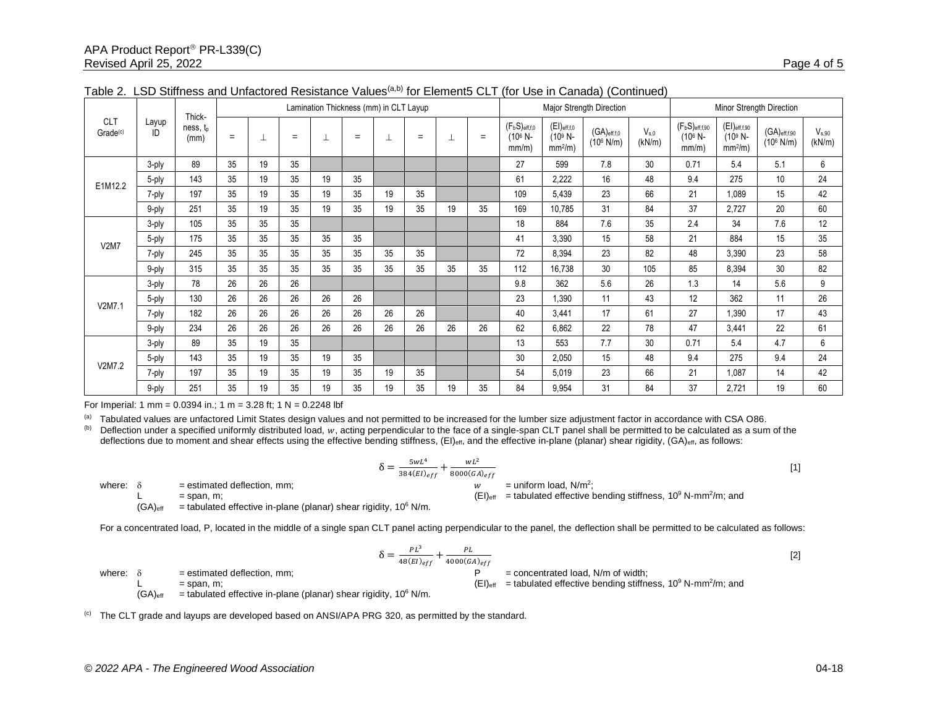| <b>CLT</b><br>Grade <sup>(c)</sup> | Layup<br>ID | Thick-<br>ness, t <sub>p</sub><br>(mm) | Lamination Thickness (mm) in CLT Layup |    |     |    |     |    |     |    |     |                                                      |                                             | Major Strength Direction               |                     | Minor Strength Direction                                       |                                                      |                                          |                      |  |
|------------------------------------|-------------|----------------------------------------|----------------------------------------|----|-----|----|-----|----|-----|----|-----|------------------------------------------------------|---------------------------------------------|----------------------------------------|---------------------|----------------------------------------------------------------|------------------------------------------------------|------------------------------------------|----------------------|--|
|                                    |             |                                        | $=$                                    | ⊥  | $=$ | ┷  | $=$ | ┷  | $=$ | ᆂ  | $=$ | $(F_bS)_{eff, f, 0}$<br>(10 <sup>6</sup> N-<br>mm/m) | $(EI)_{eff,f,0}$<br>$(109 N -$<br>$mm2/m$ ) | $(GA)_{eff,6}$<br>$(10^6 \text{ N/m})$ | $V_{s.0}$<br>(kN/m) | (F <sub>b</sub> S) <sub>eff,f,90</sub><br>$(10^6 N -$<br>mm/m) | $(EI)_{\text{eff,f,90}}$<br>$(10^9 N -$<br>$mm2/m$ ) | $(GA)_{eff,fg0}$<br>$(10^6 \text{ N/m})$ | $V_{s,90}$<br>(kN/m) |  |
| E1M12.2                            | 3-ply       | 89                                     | 35                                     | 19 | 35  |    |     |    |     |    |     | 27                                                   | 599                                         | 7.8                                    | 30                  | 0.71                                                           | 5.4                                                  | 5.1                                      | 6                    |  |
|                                    | 5-ply       | 143                                    | 35                                     | 19 | 35  | 19 | 35  |    |     |    |     | 61                                                   | 2,222                                       | 16                                     | 48                  | 9.4                                                            | 275                                                  | 10                                       | 24                   |  |
|                                    | 7-ply       | 197                                    | 35                                     | 19 | 35  | 19 | 35  | 19 | 35  |    |     | 109                                                  | 5,439                                       | 23                                     | 66                  | 21                                                             | 1,089                                                | 15                                       | 42                   |  |
|                                    | 9-ply       | 251                                    | 35                                     | 19 | 35  | 19 | 35  | 19 | 35  | 19 | 35  | 169                                                  | 10,785                                      | 31                                     | 84                  | 37                                                             | 2,727                                                | 20                                       | 60                   |  |
| <b>V2M7</b>                        | 3-ply       | 105                                    | 35                                     | 35 | 35  |    |     |    |     |    |     | 18                                                   | 884                                         | 7.6                                    | 35                  | 2.4                                                            | 34                                                   | 7.6                                      | 12                   |  |
|                                    | 5-ply       | 175                                    | 35                                     | 35 | 35  | 35 | 35  |    |     |    |     | 41                                                   | 3,390                                       | 15                                     | 58                  | 21                                                             | 884                                                  | 15                                       | 35                   |  |
|                                    | 7-ply       | 245                                    | 35                                     | 35 | 35  | 35 | 35  | 35 | 35  |    |     | 72                                                   | 8,394                                       | 23                                     | 82                  | 48                                                             | 3,390                                                | 23                                       | 58                   |  |
|                                    | 9-ply       | 315                                    | 35                                     | 35 | 35  | 35 | 35  | 35 | 35  | 35 | 35  | 112                                                  | 16,738                                      | 30                                     | 105                 | 85                                                             | 8,394                                                | 30                                       | 82                   |  |
|                                    | 3-ply       | 78                                     | 26                                     | 26 | 26  |    |     |    |     |    |     | 9.8                                                  | 362                                         | 5.6                                    | 26                  | 1.3                                                            | 14                                                   | 5.6                                      | 9                    |  |
| V2M7.1                             | 5-ply       | 130                                    | 26                                     | 26 | 26  | 26 | 26  |    |     |    |     | 23                                                   | .390                                        | 11                                     | 43                  | 12                                                             | 362                                                  | 11                                       | 26                   |  |
|                                    | 7-ply       | 182                                    | 26                                     | 26 | 26  | 26 | 26  | 26 | 26  |    |     | 40                                                   | 3,441                                       | 17                                     | 61                  | 27                                                             | 1,390                                                | 17                                       | 43                   |  |
|                                    | 9-ply       | 234                                    | 26                                     | 26 | 26  | 26 | 26  | 26 | 26  | 26 | 26  | 62                                                   | 6.862                                       | 22                                     | 78                  | 47                                                             | 3.441                                                | 22                                       | 61                   |  |
|                                    | 3-ply       | 89                                     | 35                                     | 19 | 35  |    |     |    |     |    |     | 13                                                   | 553                                         | 7.7                                    | 30                  | 0.71                                                           | 5.4                                                  | 4.7                                      | 6                    |  |
|                                    | 5-ply       | 143                                    | 35                                     | 19 | 35  | 19 | 35  |    |     |    |     | 30                                                   | 2,050                                       | 15                                     | 48                  | 9.4                                                            | 275                                                  | 9.4                                      | 24                   |  |
| V2M7.2                             | 7-ply       | 197                                    | 35                                     | 19 | 35  | 19 | 35  | 19 | 35  |    |     | 54                                                   | 5,019                                       | 23                                     | 66                  | 21                                                             | 1,087                                                | 14                                       | 42                   |  |
|                                    | 9-ply       | 251                                    | 35                                     | 19 | 35  | 19 | 35  | 19 | 35  | 19 | 35  | 84                                                   | 9,954                                       | 31                                     | 84                  | 37                                                             | 2,721                                                | 19                                       | 60                   |  |

## Table 2. LSD Stiffness and Unfactored Resistance Values<sup>(a,b)</sup> for Element5 CLT (for Use in Canada) (Continued)

For Imperial: 1 mm = 0.0394 in.; 1 m = 3.28 ft; 1 N = 0.2248 lbf

(a) Tabulated values are unfactored Limit States design values and not permitted to be increased for the lumber size adjustment factor in accordance with CSA O86.<br>(b) Deflection under a specified uniformly distributed loa

Deflection under a specified uniformly distributed load,  $w$ , acting perpendicular to the face of a single-span CLT panel shall be permitted to be calculated as a sum of the deflections due to moment and shear effects using the effective bending stiffness, (EI)<sub>eff</sub>, and the effective in-plane (planar) shear rigidity, (GA)<sub>eff</sub>, as follows:

$$
\delta = \frac{5wL^4}{384(EI)_{eff}} + \frac{wL^2}{8000(GA)_{eff}}
$$
  
 
$$
\frac{w}{w} = \text{uniform load. N/m}^2
$$

where:  $\delta$  = estimated deflection, mm;  $w$ 

L  $=$  span, m;  $=$  span, m;

 $(GA)_{\text{eff}}$  = tabulated effective in-plane (planar) shear rigidity, 10<sup>6</sup> N/m.

For a concentrated load, P, located in the middle of a single span CLT panel acting perpendicular to the panel, the deflection shall be permitted to be calculated as follows:

$$
\delta = \frac{PL^3}{48(EI)_{eff}} + \frac{PL}{4000(GA)_{eff}}
$$
 [2]

where:  $\delta$  = estimated deflection, mm;  $\beta$  = concentrated load, N/m of width;

L  $=$  span, m;  $=$  span, m;  $(GA)_{\text{eff}}$  = tabulated effective in-plane (planar) shear rigidity, 10<sup>6</sup> N/m.

 $<sup>(c)</sup>$  The CLT grade and layups are developed based on ANSI/APA PRG 320, as permitted by the standard.</sup>